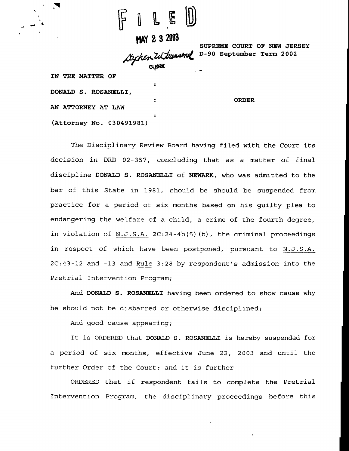

**I, IAY 3 200S**

 $\ddot{\phantom{a}}$ 

**SUPREME COURT OF NEW JERSEY D-90 September Term 2002**

**ORDER**

**IN THE MATTER OF DONALD S. ROSANELLI, AN ATTORNEY AT LAW (Attorney No. 030491981)**

The Disciplinary. Review Board having filed with the Court its decision in DRB 02-357, concluding that as a matter of final discipline DONALD S. ROSANELLI of NEWARK, who was admitted to the bar of this State in 1981, should be should be suspended from practice for a period of six months based on his guilty plea to endangering the welfare of a child, a crime of the fourth degree, in violation of N.J.S.A.  $2C:24-4b(5)$  (b), the criminal proceedings in respect of which have been postponed, pursuant to N.J.S.A. 2C:43-12 and -13 and Rule 3:28 by respondent's admission into the Pretrial Intervention Program;

And DONALD S. ROSANELLI having been ordered to show cause why he should not be disbarred or otherwise disciplined;

And good cause appearing;

It is ORDERED that DONALD S. ROSANELLI is hereby suspended for a period of six months, effective June 22, 2003 and until the further Order of the Court; and it is further

ORDERED that if respondent fails to complete the Pretrial Intervention Program, the disciplinary proceedings before this